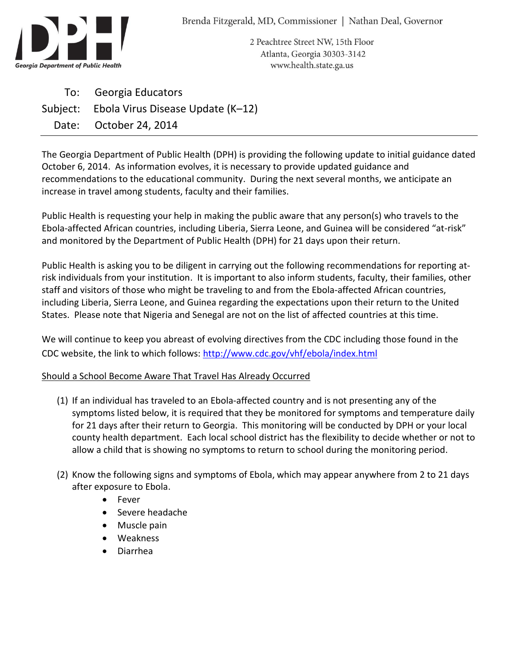

2 Peachtree Street NW, 15th Floor Atlanta, Georgia 30303-3142 www.health.state.ga.us

To: Georgia Educators Subject: Ebola Virus Disease Update (K–12) Date: October 24, 2014

The Georgia Department of Public Health (DPH) is providing the following update to initial guidance dated October 6, 2014. As information evolves, it is necessary to provide updated guidance and recommendations to the educational community. During the next several months, we anticipate an increase in travel among students, faculty and their families.

Public Health is requesting your help in making the public aware that any person(s) who travels to the Ebola-affected African countries, including Liberia, Sierra Leone, and Guinea will be considered "at-risk" and monitored by the Department of Public Health (DPH) for 21 days upon their return.

Public Health is asking you to be diligent in carrying out the following recommendations for reporting atrisk individuals from your institution. It is important to also inform students, faculty, their families, other staff and visitors of those who might be traveling to and from the Ebola-affected African countries, including Liberia, Sierra Leone, and Guinea regarding the expectations upon their return to the United States. Please note that Nigeria and Senegal are not on the list of affected countries at this time.

We will continue to keep you abreast of evolving directives from the CDC including those found in the CDC website, the link to which follows: <http://www.cdc.gov/vhf/ebola/index.html>

## Should a School Become Aware That Travel Has Already Occurred

- (1) If an individual has traveled to an Ebola-affected country and is not presenting any of the symptoms listed below, it is required that they be monitored for symptoms and temperature daily for 21 days after their return to Georgia. This monitoring will be conducted by DPH or your local county health department. Each local school district has the flexibility to decide whether or not to allow a child that is showing no symptoms to return to school during the monitoring period.
- (2) Know the following signs and symptoms of Ebola, which may appear anywhere from 2 to 21 days after exposure to Ebola.
	- Fever
	- Severe headache
	- Muscle pain
	- Weakness
	- Diarrhea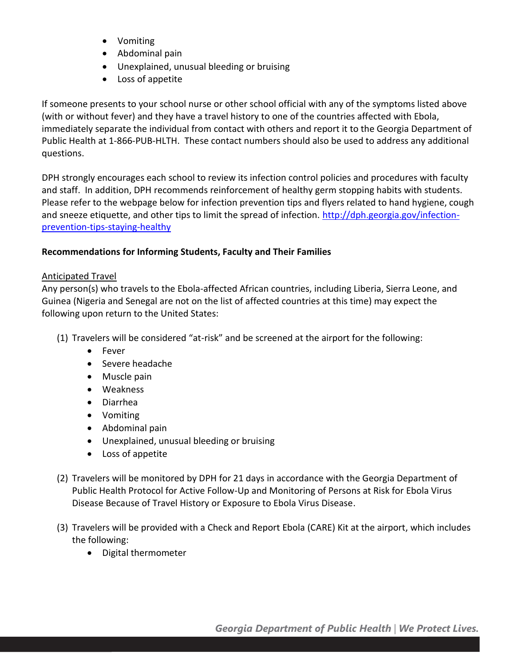- Vomiting
- Abdominal pain
- Unexplained, unusual bleeding or bruising
- Loss of appetite

If someone presents to your school nurse or other school official with any of the symptoms listed above (with or without fever) and they have a travel history to one of the countries affected with Ebola, immediately separate the individual from contact with others and report it to the Georgia Department of Public Health at 1-866-PUB-HLTH. These contact numbers should also be used to address any additional questions.

DPH strongly encourages each school to review its infection control policies and procedures with faculty and staff. In addition, DPH recommends reinforcement of healthy germ stopping habits with students. Please refer to the webpage below for infection prevention tips and flyers related to hand hygiene, cough and sneeze etiquette, and other tips to limit the spread of infection. [http://dph.georgia.gov/infection](http://dph.georgia.gov/infection-prevention-tips-staying-healthy)[prevention-tips-staying-healthy](http://dph.georgia.gov/infection-prevention-tips-staying-healthy)

## **Recommendations for Informing Students, Faculty and Their Families**

## Anticipated Travel

Any person(s) who travels to the Ebola-affected African countries, including Liberia, Sierra Leone, and Guinea (Nigeria and Senegal are not on the list of affected countries at this time) may expect the following upon return to the United States:

- (1) Travelers will be considered "at-risk" and be screened at the airport for the following:
	- Fever
	- Severe headache
	- Muscle pain
	- Weakness
	- Diarrhea
	- Vomiting
	- Abdominal pain
	- Unexplained, unusual bleeding or bruising
	- Loss of appetite
- (2) Travelers will be monitored by DPH for 21 days in accordance with the Georgia Department of Public Health Protocol for Active Follow-Up and Monitoring of Persons at Risk for Ebola Virus Disease Because of Travel History or Exposure to Ebola Virus Disease.
- (3) Travelers will be provided with a Check and Report Ebola (CARE) Kit at the airport, which includes the following:
	- Digital thermometer